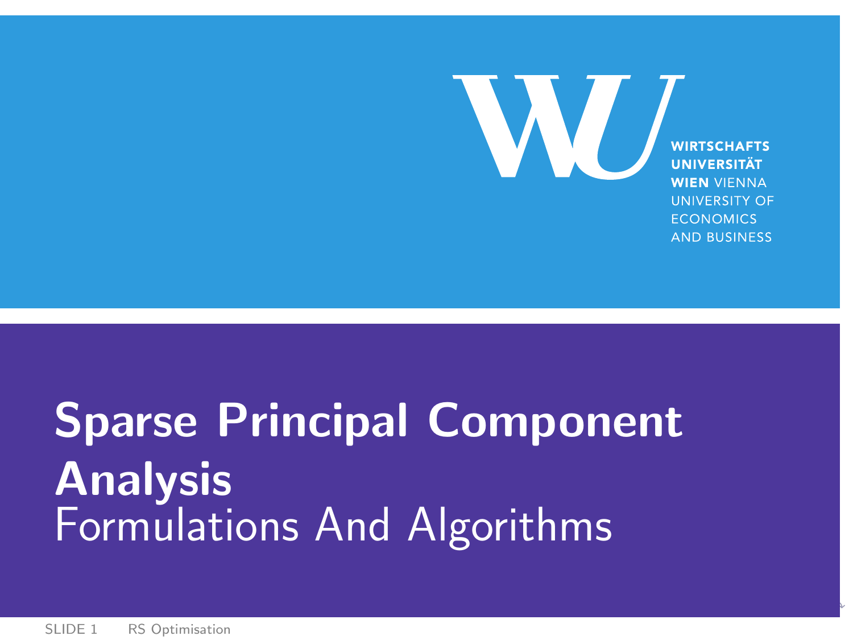<span id="page-0-0"></span>**WIRTSCHAFTS UNIVERSITÄT WIEN VIENNA UNIVERSITY OF ECONOMICS AND BUSINESS** 

W

# Sparse Principal Component Analysis Formulations And Algorithms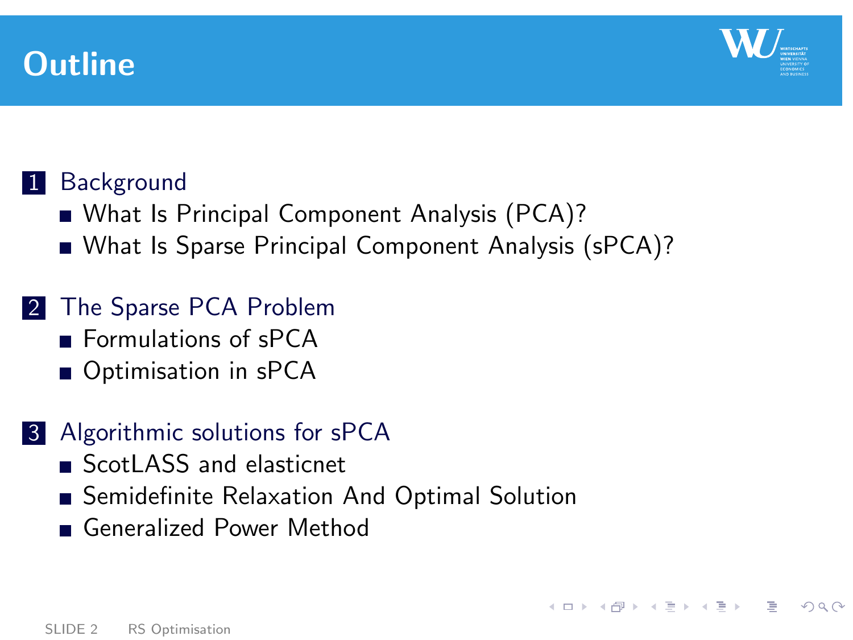



<span id="page-1-0"></span>**KED KARD KED KED E VOOR** 

# 1 [Background](#page-2-0)

- [What Is Principal Component Analysis \(PCA\)?](#page-2-0)
- [What Is Sparse Principal Component Analysis \(sPCA\)?](#page-6-0)

# 2 [The Sparse PCA Problem](#page-8-0)

- **[Formulations of sPCA](#page-8-0)**
- [Optimisation in sPCA](#page-9-0)

# 3 [Algorithmic solutions for sPCA](#page-10-0)

- [ScotLASS and elasticnet](#page-10-0)
- [Semidefinite Relaxation And Optimal Solution](#page-11-0)
- [Generalized Power Method](#page-26-0)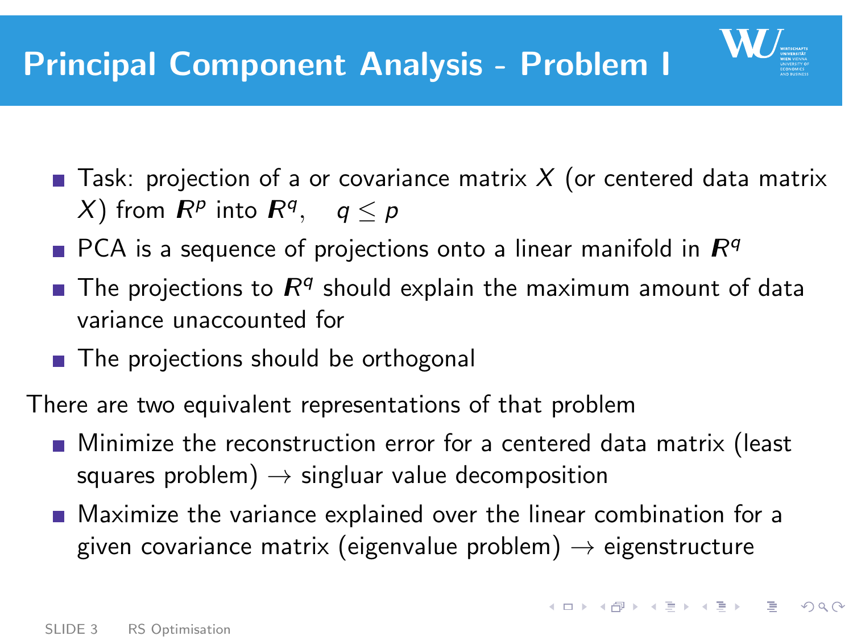

- PCA is a sequence of projections onto a linear manifold in  $\mathbb{R}^q$
- The projections to  $R^q$  should explain the maximum amount of data variance unaccounted for
- The projections should be orthogonal

There are two equivalent representations of that problem

- **Minimize the reconstruction error for a centered data matrix (least** squares problem)  $\rightarrow$  singluar value decomposition
- **Maximize the variance explained over the linear combination for a** given covariance matrix (eigenvalue problem)  $\rightarrow$  eigenstructure

<span id="page-2-0"></span>**KORK EXTERNS EN 2000**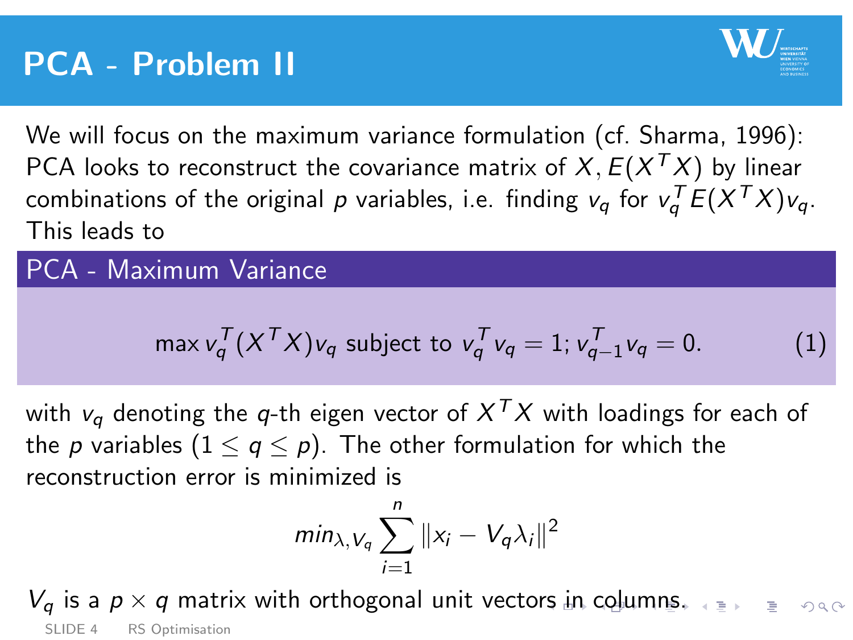

We will focus on the maximum variance formulation (cf. Sharma, 1996): PCA looks to reconstruct the covariance matrix of  $X, E(X^{\mathcal{T}}X)$  by linear combinations of the original  $\rho$  variables, i.e. finding  $v_q$  for  $v_q^{\mathcal{T}} E(X^{\mathcal{T}} X)v_q$ . This leads to

## PCA - Maximum Variance

<span id="page-3-1"></span>
$$
\max v_q^T (X^T X) v_q \text{ subject to } v_q^T v_q = 1; v_{q-1}^T v_q = 0. \tag{1}
$$

with  $v_q$  denoting the  $q$ -th eigen vector of  $X^{\mathcal{T}}X$  with loadings for each of the p variables  $(1 \le q \le p)$ . The other formulation for which the reconstruction error is minimized is

<span id="page-3-0"></span>
$$
min_{\lambda, V_q} \sum_{i=1}^n ||x_i - V_q \lambda_i||^2
$$

 $V_a$  i[s](#page-5-0) a  $p \times q$  $p \times q$  $p \times q$  matrix with orthogonal unit vecto[rs](#page-2-0) i[n](#page-2-0) [c](#page-2-0)[olu](#page-3-0)mns[.](#page-6-0) SLIDE 4 [RS Optimisation](#page-0-0)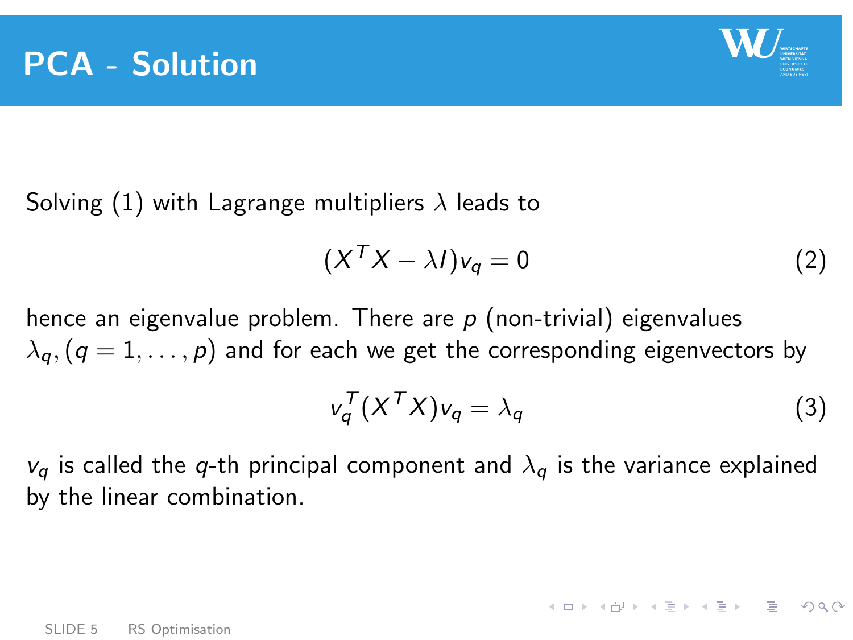

Solving [\(1\)](#page-3-1) with Lagrange multipliers  $\lambda$  leads to

$$
(XTX - \lambda I)v_q = 0
$$
 (2)

hence an eigenvalue problem. There are  $p$  (non-trivial) eigenvalues  $\lambda_q$ ,  $(q = 1, \ldots, p)$  and for each we get the corresponding eigenvectors by

$$
v_q^T (X^T X) v_q = \lambda_q \tag{3}
$$

<span id="page-4-0"></span>**KORK EXTERNE PROPER** 

 $v_a$  is called the q-th principal component and  $\lambda_a$  is the variance explained by the linear combination.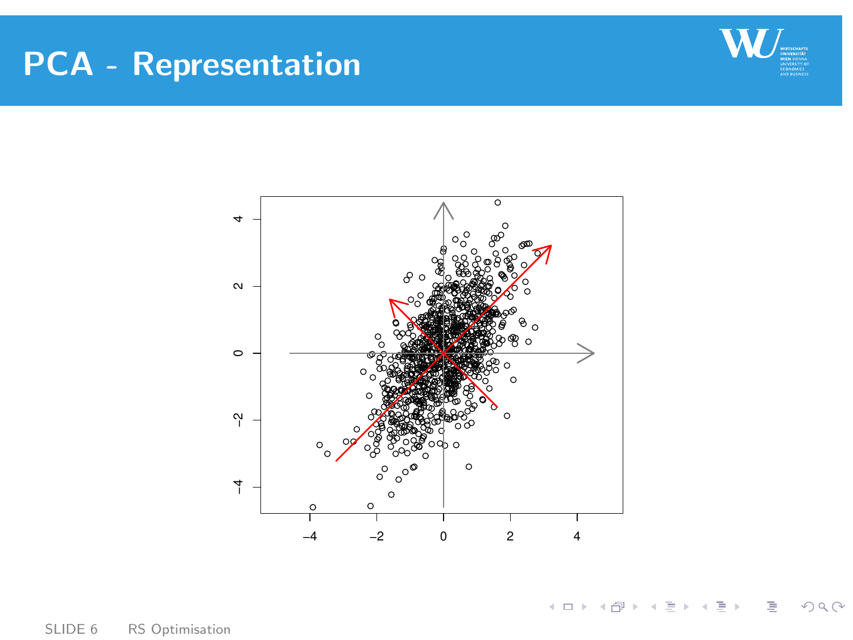# PCA - Representation





SLIDE 6 [RS Optimisation](#page-0-0)

<span id="page-5-0"></span> $OQ$ イロト イ部 トイヨ トイヨト  $\equiv$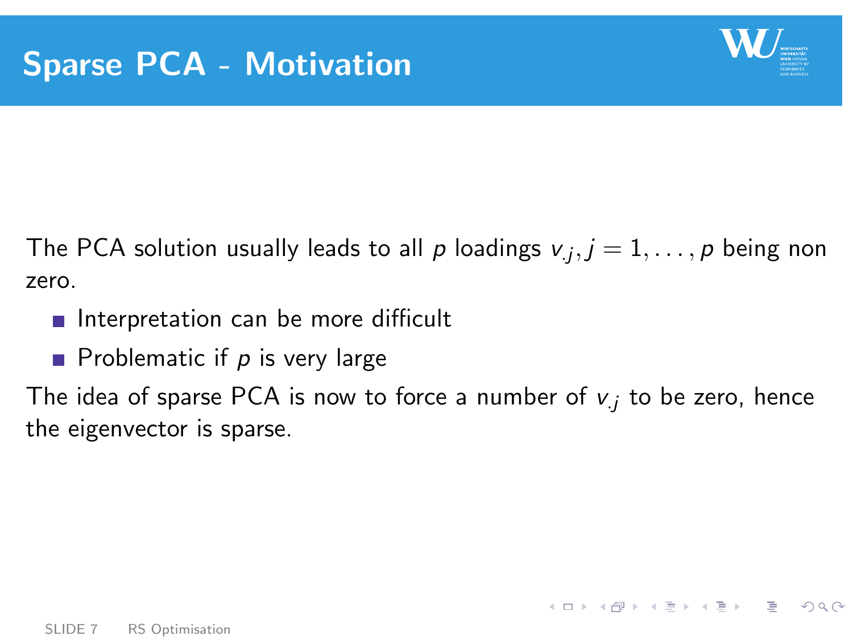

<span id="page-6-0"></span>**KEIN KARA KEIN EE SOAR** 

The PCA solution usually leads to all  $\rho$  loadings  $\mathsf{v}_j, j=1,\ldots,\rho$  being non zero.

- Interpretation can be more difficult
- **Problematic if**  $p$  **is very large**

The idea of sparse PCA is now to force a number of  $v_j$  to be zero, hence the eigenvector is sparse.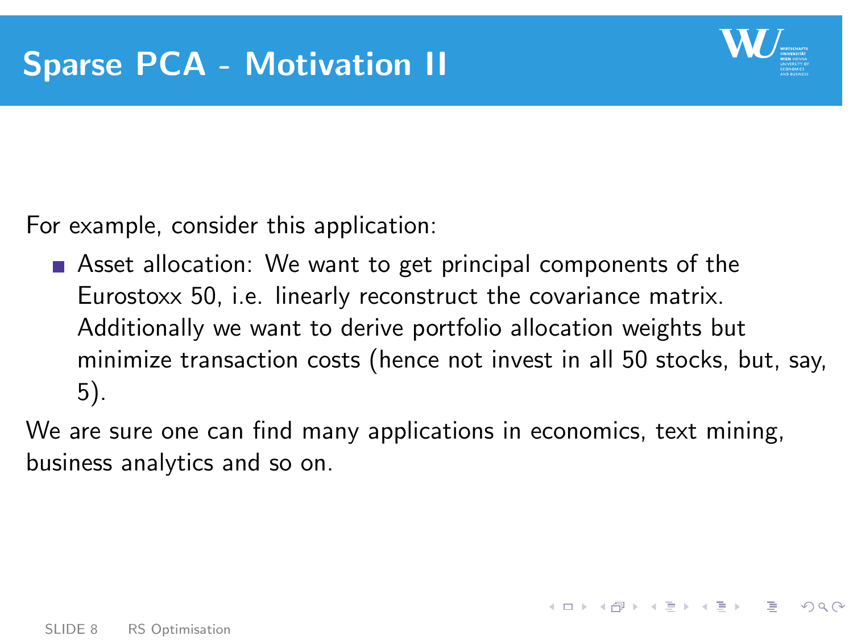

K D → K @ → K E → K E → C E → O Q O

For example, consider this application:

**Asset allocation:** We want to get principal components of the Eurostoxx 50, i.e. linearly reconstruct the covariance matrix. Additionally we want to derive portfolio allocation weights but minimize transaction costs (hence not invest in all 50 stocks, but, say, 5).

We are sure one can find many applications in economics, text mining, business analytics and so on.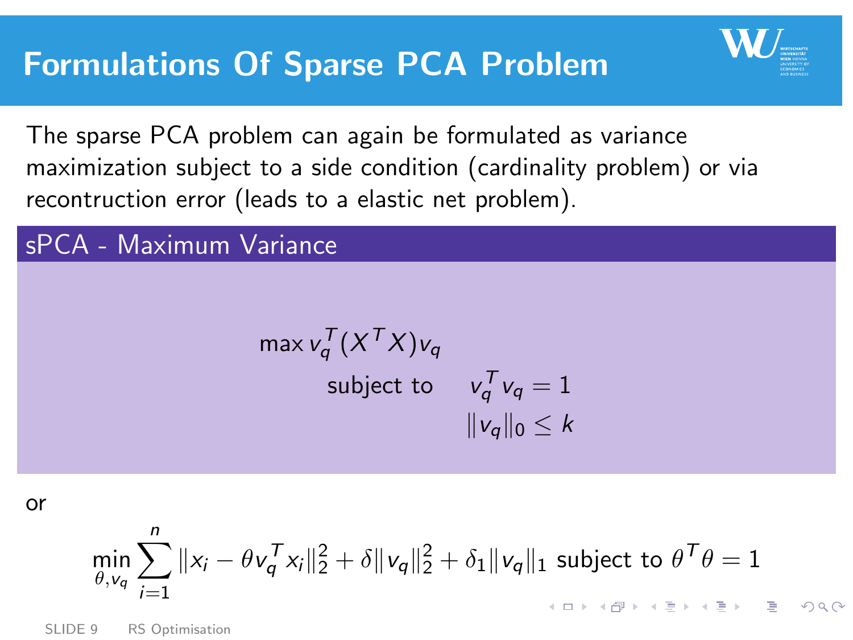<span id="page-8-0"></span>

The sparse PCA problem can again be formulated as variance maximization subject to a side condition (cardinality problem) or via recontruction error (leads to a elastic net problem).

#### sPCA - Maximum Variance

<span id="page-8-1"></span>
$$
\max v_q^T (X^T X) v_q
$$
  
subject to 
$$
v_q^T v_q = 1
$$

$$
||v_q||_0 \le k
$$

or

$$
\min_{\theta, v_q} \sum_{i=1}^n \|x_i - \theta v_q^T x_i\|_2^2 + \delta \|v_q\|_2^2 + \delta_1 \|v_q\|_1 \text{ subject to } \theta^T \theta = 1
$$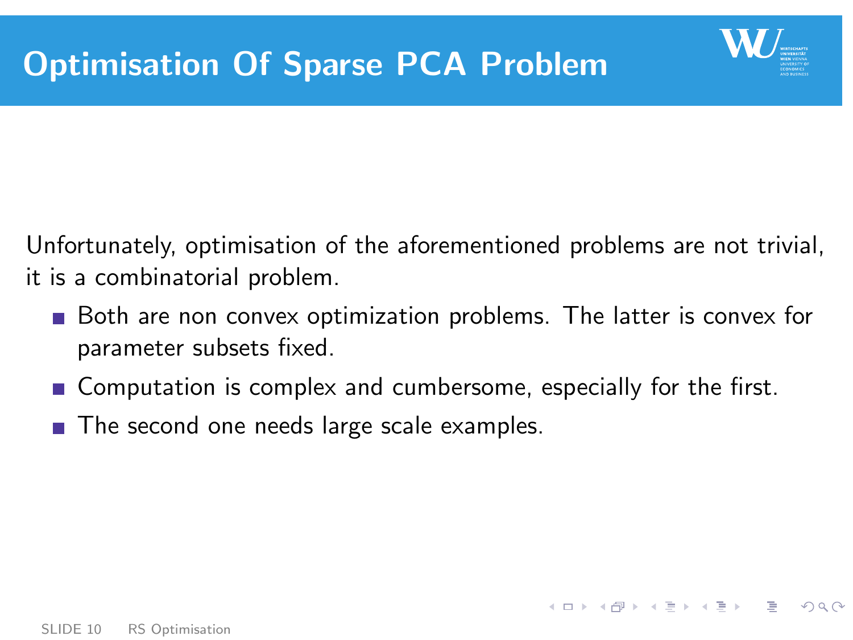

<span id="page-9-0"></span>

Unfortunately, optimisation of the aforementioned problems are not trivial, it is a combinatorial problem.

- Both are non convex optimization problems. The latter is convex for parameter subsets fixed.
- Computation is complex and cumbersome, especially for the first.
- The second one needs large scale examples.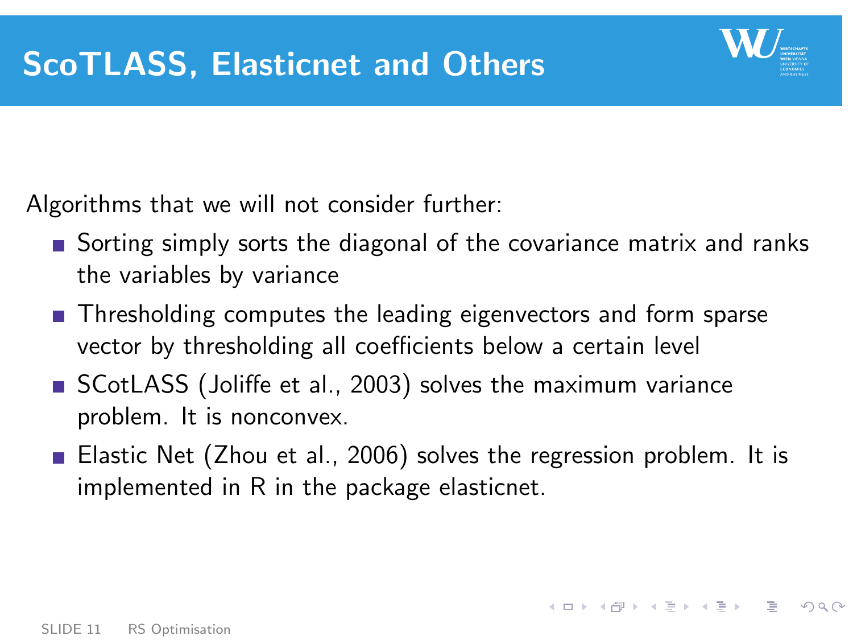

<span id="page-10-0"></span>

Algorithms that we will not consider further:

- **Sorting simply sorts the diagonal of the covariance matrix and ranks** the variables by variance
- **Thresholding computes the leading eigenvectors and form sparse** vector by thresholding all coefficients below a certain level
- SCotLASS (Joliffe et al., 2003) solves the maximum variance problem. It is nonconvex.
- Elastic Net (Zhou et al., 2006) solves the regression problem. It is implemented in R in the package elasticnet.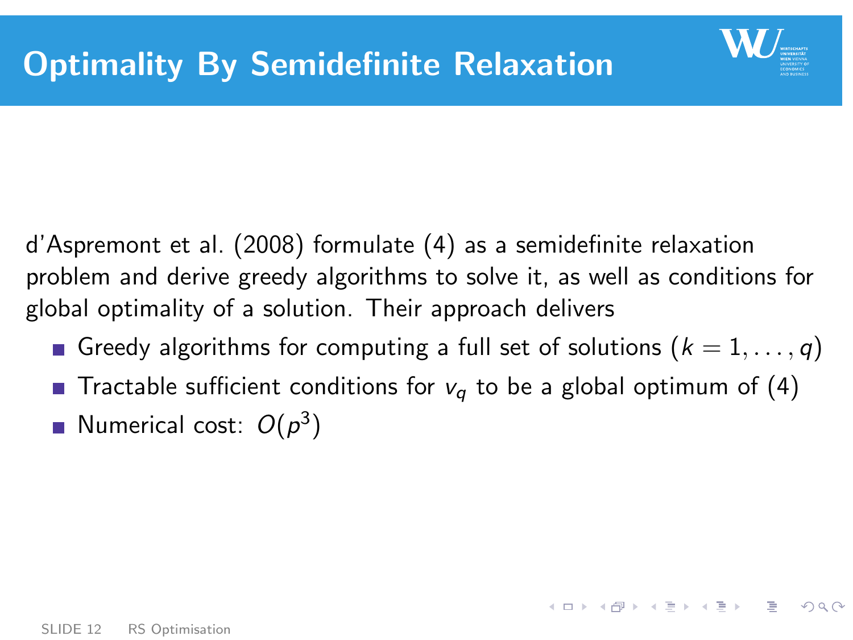

<span id="page-11-0"></span> $A \Box B = A \Box B + A \Box B + A \Box B = A \Box B \Box B$ 

d'Aspremont et al. (2008) formulate [\(4\)](#page-8-1) as a semidefinite relaxation problem and derive greedy algorithms to solve it, as well as conditions for global optimality of a solution. Their approach delivers

- Greedy algorithms for computing a full set of solutions  $(k = 1, \ldots, q)$
- **Tractable sufficient conditions for**  $v_q$  **to be a global optimum of [\(4\)](#page-8-1)**
- Numerical cost:  $O(p^3)$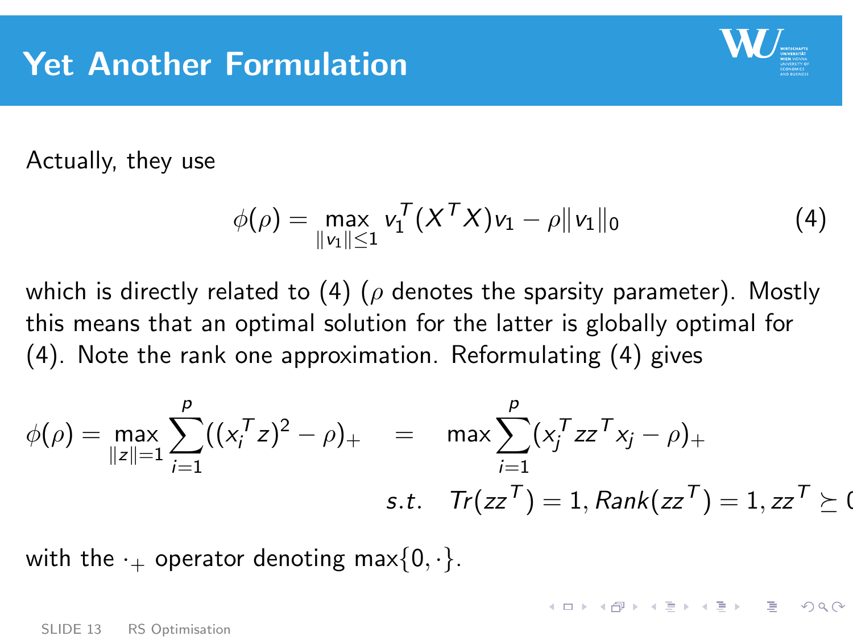

**KORK EXTERNS EN 2000** 

Actually, they use

<span id="page-12-0"></span>
$$
\phi(\rho) = \max_{\|v_1\| \le 1} v_1^T (X^T X) v_1 - \rho \|v_1\|_0 \tag{4}
$$

which is directly related to [\(4\)](#page-8-1) ( $\rho$  denotes the sparsity parameter). Mostly this means that an optimal solution for the latter is globally optimal for [\(4\)](#page-8-1). Note the rank one approximation. Reformulating [\(4\)](#page-12-0) gives

$$
\phi(\rho) = \max_{\|z\|=1} \sum_{i=1}^{p} ((x_i^T z)^2 - \rho)_+ \quad = \quad \max \sum_{i=1}^{p} (x_i^T z z^T x_j - \rho)_+ \\
 \text{s.t.} \quad Tr(zz^T) = 1, \text{Rank}(zz^T) = 1, zz^T \succeq 0
$$

with the  $\cdot_+$  operator denoting max $\{0, \cdot\}.$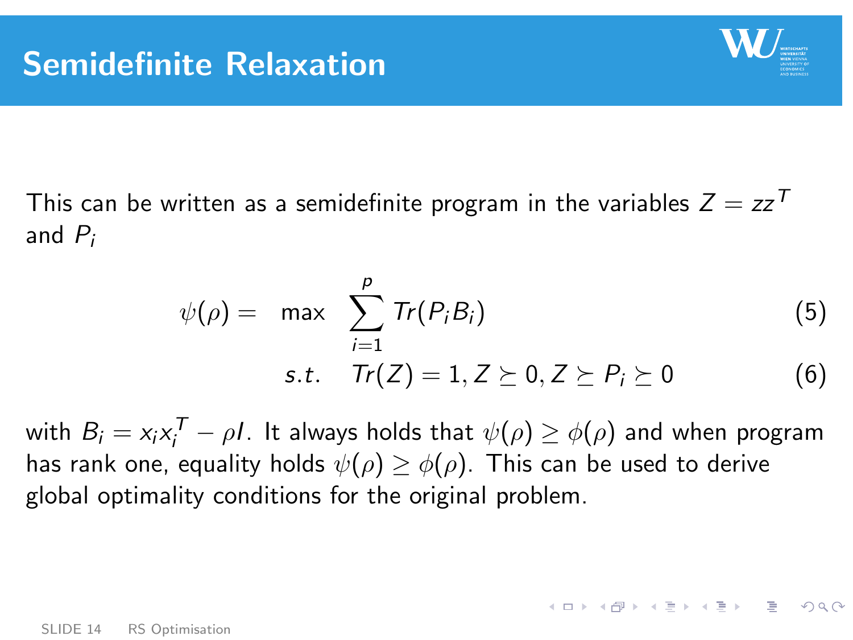

**KORKARYKERKER DRAG** 

This can be written as a semidefinite program in the variables  $Z = zz^T$ and  $P_i$ 

$$
\psi(\rho) = \max \sum_{i=1}^{p} \text{Tr}(P_i B_i)
$$
\n
$$
\text{s.t.} \quad \text{Tr}(Z) = 1, Z \succeq 0, Z \succeq P_i \succeq 0 \tag{6}
$$

with  $B_i = x_i x_i^{\mathcal{T}} - \rho I$ . It always holds that  $\psi(\rho) \geq \phi(\rho)$  and when program has rank one, equality holds  $\psi(\rho) \geq \phi(\rho)$ . This can be used to derive global optimality conditions for the original problem.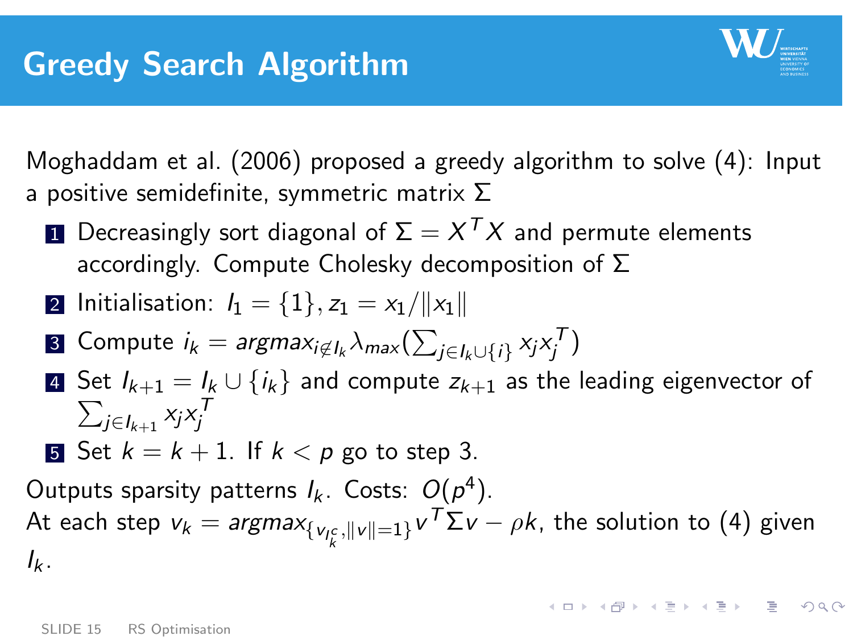

Moghaddam et al. (2006) proposed a greedy algorithm to solve [\(4\)](#page-12-0): Input a positive semidefinite, symmetric matrix  $\Sigma$ 

 $\blacksquare$  Decreasingly sort diagonal of  $\Sigma = X^{\mathcal{T}}X$  and permute elements accordingly. Compute Cholesky decomposition of Σ

2 Initalisation: 
$$
I_1 = \{1\}, z_1 = x_1 / ||x_1||
$$

**8** Compute 
$$
i_k = \text{argmax}_{i \notin I_k} \lambda_{\text{max}}(\sum_{j \in I_k \cup \{i\}} x_j x_j^T)
$$

- 4 Set  $I_{k+1} = I_k \cup \{i_k\}$  and compute  $z_{k+1}$  as the leading eigenvector of  $\sum_{j\in I_{k+1}} x_jx_j^{\intercal}$
- **5** Set  $k = k + 1$ . If  $k < p$  go to step 3.

Outputs sparsity patterns  $I_k$ . Costs:  $O(p^4)$ . At each step  $v_k = argmax_{\{v_{I_k^c},||v||=1\}} v^\mathcal{T} \Sigma v - \rho k$ , the solution to [\(4\)](#page-12-0) given  $I_{k}$ .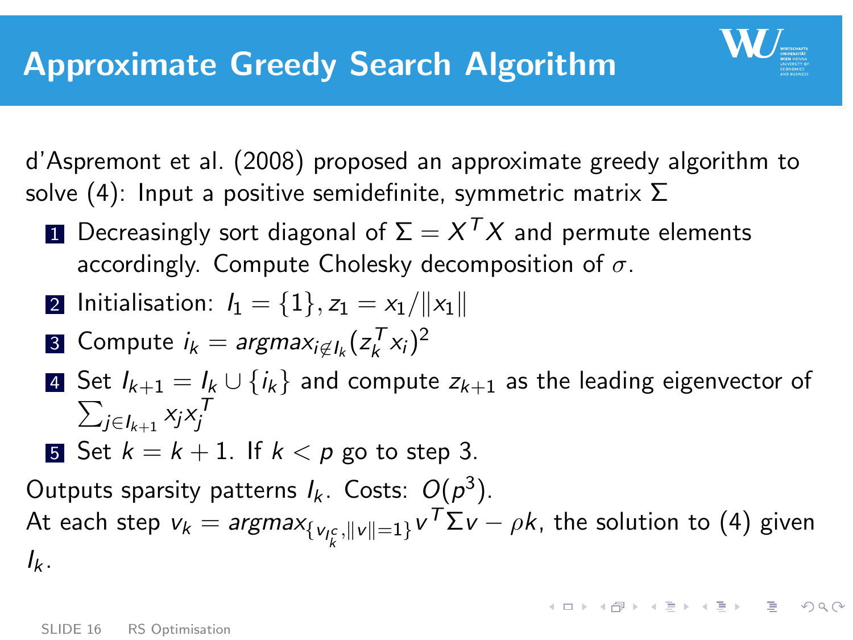

 $\blacksquare$  Decreasingly sort diagonal of  $\Sigma = X^{\mathcal{T}}X$  and permute elements accordingly. Compute Cholesky decomposition of  $\sigma$ .

2 Initalisation: 
$$
I_1 = \{1\}, z_1 = x_1 / ||x_1||
$$

3 Compute 
$$
i_k = \text{argmax}_{i \notin I_k} (z_k^T x_i)^2
$$

4 Set  $\sum$  $I_{k+1} = I_k \cup \{i_k\}$  and compute  $z_{k+1}$  as the leading eigenvector of  $_{j\in I_{k+1}}$   $x_jx_j^T$ 

**5** Set 
$$
k = k + 1
$$
. If  $k < p$  go to step 3.

Outputs sparsity patterns  $I_k$ . Costs:  $O(p^3)$ . At each step  $v_k = argmax_{\{v_{I_k^c},||v||=1\}} v^\mathcal{T} \Sigma v - \rho k$ , the solution to [\(4\)](#page-12-0) given  $I_{k}$ .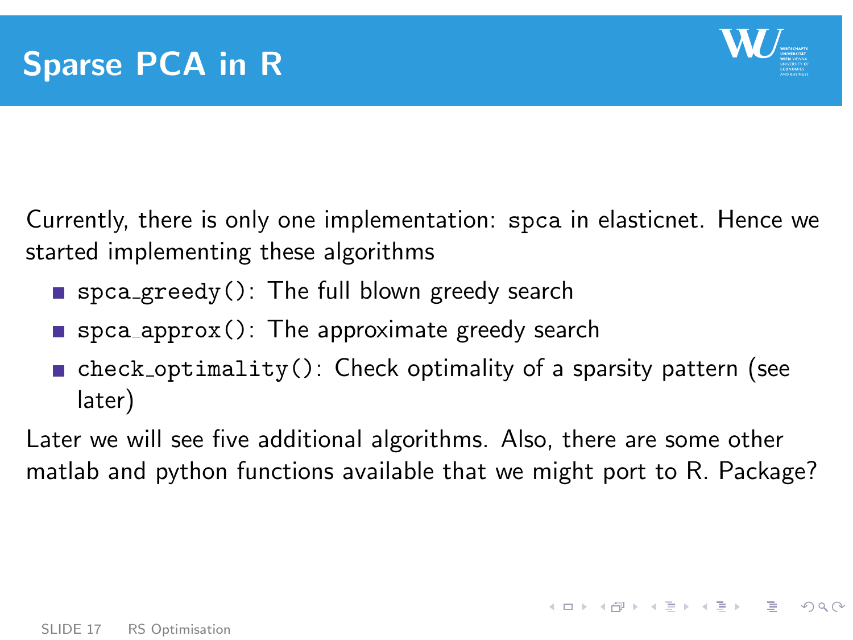

**KORK EXTERNS EN 2000** 

Currently, there is only one implementation: spca in elasticnet. Hence we started implementing these algorithms

- spca greedy(): The full blown greedy search
- spca approx(): The approximate greedy search
- $\blacksquare$  check optimality(): Check optimality of a sparsity pattern (see later)

Later we will see five additional algorithms. Also, there are some other matlab and python functions available that we might port to R. Package?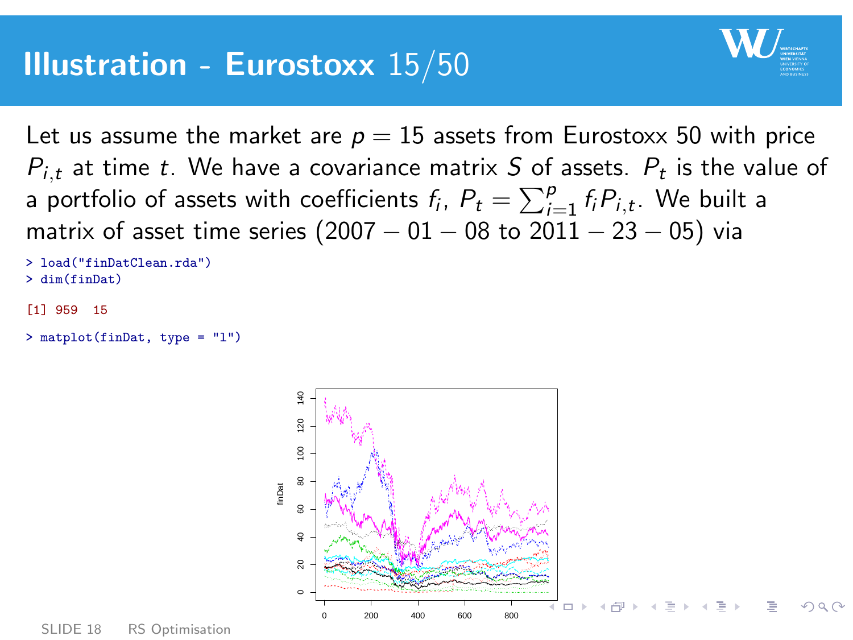

Let us assume the market are  $p = 15$  assets from Eurostoxx 50 with price  $P_{i,t}$  at time  $t.$  We have a covariance matrix  $S$  of assets.  $P_t$  is the value of a portfolio of assets with coefficients  $f_i$ ,  $P_t = \sum_{i=1}^p f_i P_{i,t}.$  We built a matrix of asset time series  $(2007 - 01 - 08)$  to  $2011 - 23 - 05$ ) via

```
> load("finDatClean.rda")
> dim(finDat)
[1] 959 15
```

```
> matplot(finDat, type = "l")
```
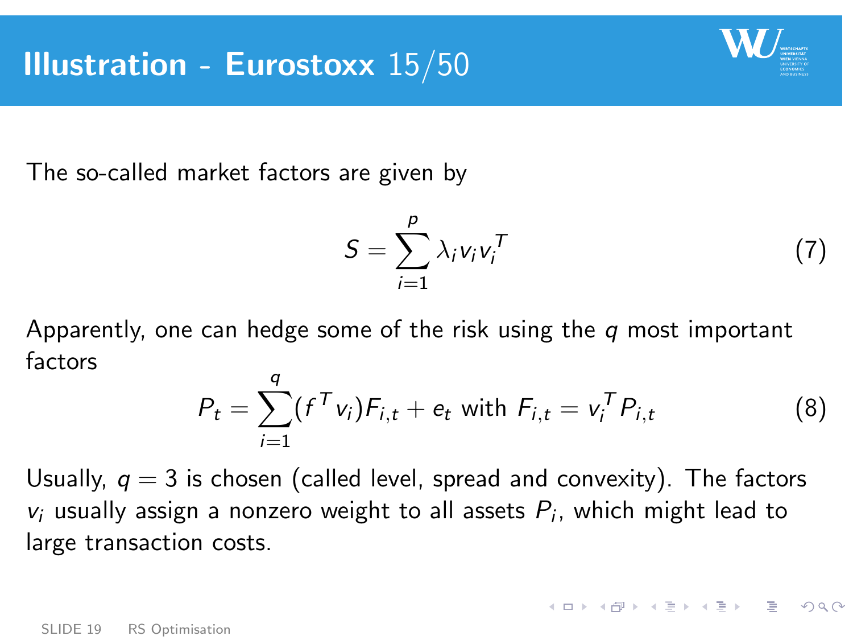

The so-called market factors are given by

$$
S = \sum_{i=1}^{p} \lambda_i v_i v_i^T \tag{7}
$$

**KEIN KARA KEIN EE SOAR** 

Apparently, one can hedge some of the risk using the  $q$  most important factors

$$
P_t = \sum_{i=1}^q (f^T v_i) F_{i,t} + e_t \text{ with } F_{i,t} = v_i^T P_{i,t}
$$
 (8)

Usually,  $q = 3$  is chosen (called level, spread and convexity). The factors  $v_i$  usually assign a nonzero weight to all assets  $P_i$ , which might lead to large transaction costs.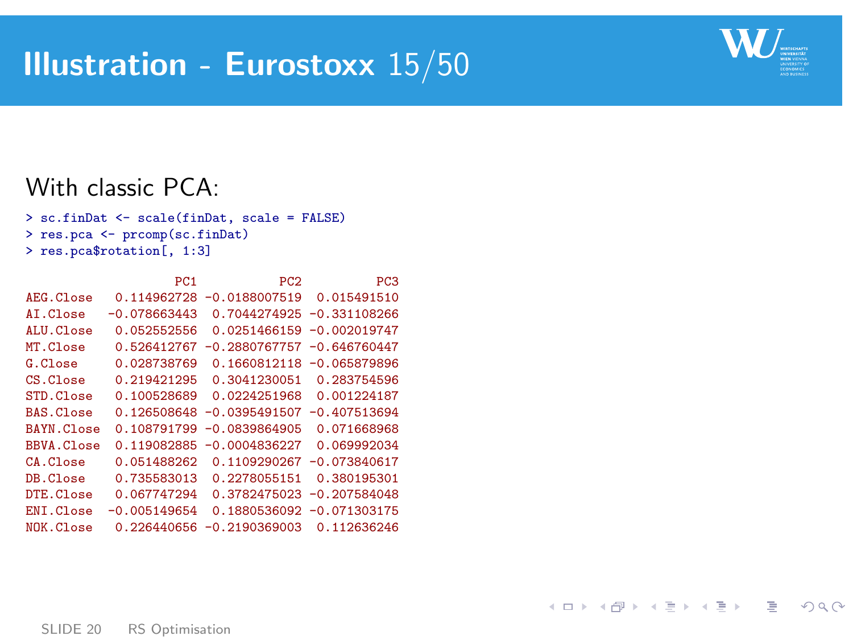# Illustration - Eurostoxx 15/50



K ロ ▶ K 個 ▶ K ミ ▶ K ミ ▶ │ 글 │ K 9 Q Q

#### With classic PCA:

```
> sc.finDat <- scale(finDat, scale = FALSE)
> res.pca <- prcomp(sc.finDat)
> res.pca$rotation[, 1:3]
```

|                | PC <sub>1</sub> | PC <sub>2</sub> | PC <sub>3</sub> |
|----------------|-----------------|-----------------|-----------------|
| AEG. Classe    | 0.114962728     | $-0.0188007519$ | 0.015491510     |
| AT.Close       | $-0.078663443$  | 0.7044274925    | $-0.331108266$  |
| $AI.U.C.$ lose | 0.052552556     | 0.0251466159    | $-0.002019747$  |
| MT.Close       | 0.526412767     | $-0.2880767757$ | $-0.646760447$  |
| G.Close        | 0.028738769     | 0.1660812118    | $-0.065879896$  |
| CS.Close       | 0.219421295     | 0.3041230051    | 0.283754596     |
| STD.Close      | 0.100528689     | 0.0224251968    | 0.001224187     |
| BAS.Close      | 0.126508648     | $-0.0395491507$ | $-0.407513694$  |
| BAYN.Close     | 0.108791799     | $-0.0839864905$ | 0.071668968     |
| BBVA.Close     | 0.119082885     | $-0.0004836227$ | 0.069992034     |
| CA.Close       | 0.051488262     | 0.1109290267    | $-0.073840617$  |
| DB.Close       | 0.735583013     | 0.2278055151    | 0.380195301     |
| DTE.C1ose      | 0.067747294     | 0.3782475023    | $-0.207584048$  |
| ENI.Close      | $-0.005149654$  | 0.1880536092    | $-0.071303175$  |
| NOK.Close      | 0.226440656     | $-0.2190369003$ | 0.112636246     |
|                |                 |                 |                 |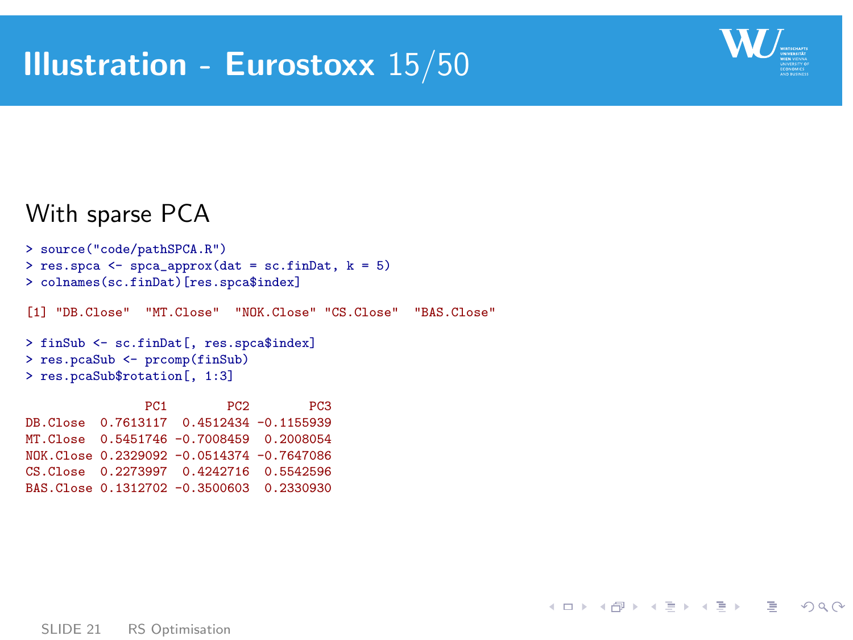

イロト イ母 トイミト イミト ニヨー りんぴ

#### With sparse PCA

```
> source("code/pathSPCA.R")
> res.spca <- \frac{1}{2} spca_approx(dat = sc.finDat, k = 5)
> colnames(sc.finDat)[res.spca$index]
[1] "DB.Close" "MT.Close" "NOK.Close" "CS.Close" "BAS.Close"
> finSub <- sc.finDat[, res.spca$index]
> res.pcaSub <- prcomp(finSub)
> res.pcaSub$rotation[, 1:3]
                PC1 PC2 PC3
DB.Close 0.7613117 0.4512434 -0.1155939
MT.Close 0.5451746 -0.7008459 0.2008054
NOK.Close 0.2329092 -0.0514374 -0.7647086
```

```
CS.Close 0.2273997 0.4242716 0.5542596
BAS.Close 0.1312702 -0.3500603 0.2330930
```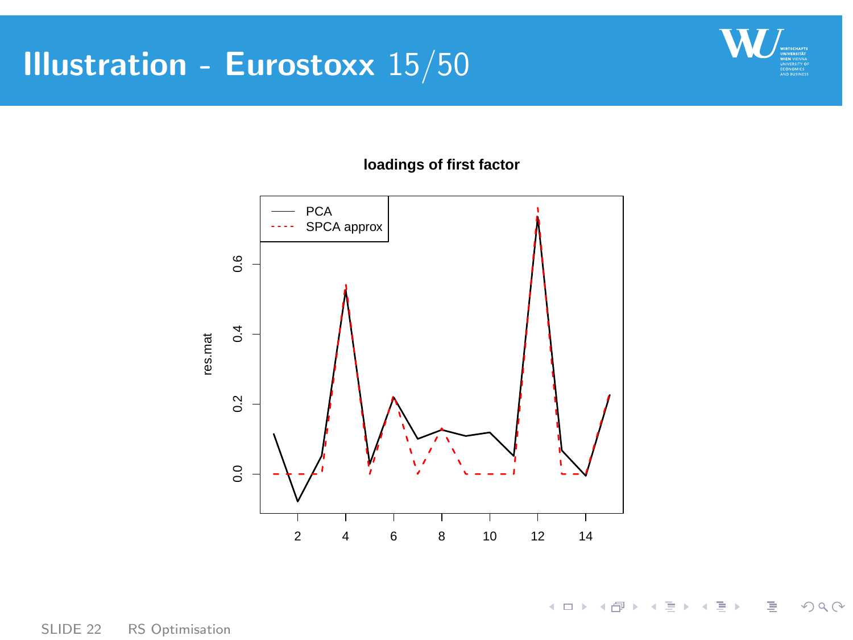# Illustration - Eurostoxx 15/50



目

 $2Q$ 

イロメ イ部メ イミメ イミメー

**loadings of first factor**

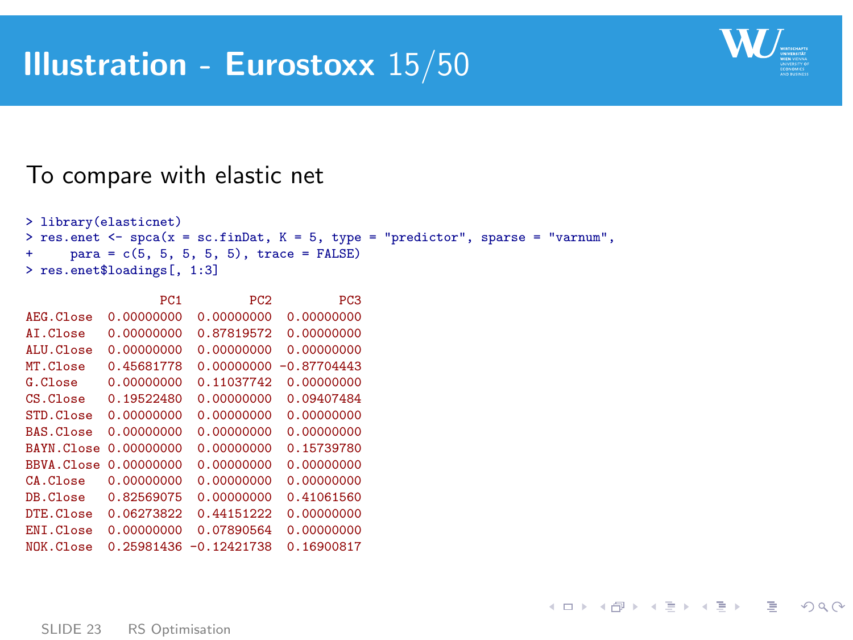

K ロ ▶ K 個 ▶ K ミ ▶ K ミ ▶ → 트 → 9 Q Q

#### To compare with elastic net

```
> library(elasticnet)
> res.enet <- spca(x = sc.finDat, K = 5, type = "predictor", sparse = "varnum",
+ para = c(5, 5, 5, 5, 5), trace = FALSE)
> res.enet$loadings[, 1:3]
```

| 0.00000000<br>0.00000000<br>AEG. Classe<br>0.00000000<br>0.87819572<br>AT.Close<br>0.00000000<br>0.00000000<br>$AI.U.C.$ lose<br>0.00000000<br>MT.Close<br>0.45681778<br>0.00000000<br>0.11037742<br>G.C.<br>$CS.G$ lose<br>0.19522480<br>0.00000000<br>0.00000000<br>0.00000000<br>STD.Close<br>0.00000000<br>0.00000000<br>BAS.Close<br>BAYN.Close<br>0.00000000<br>0.00000000<br>0.00000000<br>BBVA.Close<br>0.00000000 |          | PC <sub>1</sub> | PC <sub>2</sub> | PC <sub>3</sub> |
|----------------------------------------------------------------------------------------------------------------------------------------------------------------------------------------------------------------------------------------------------------------------------------------------------------------------------------------------------------------------------------------------------------------------------|----------|-----------------|-----------------|-----------------|
|                                                                                                                                                                                                                                                                                                                                                                                                                            |          |                 |                 | 0.00000000      |
|                                                                                                                                                                                                                                                                                                                                                                                                                            |          |                 |                 | 0.00000000      |
|                                                                                                                                                                                                                                                                                                                                                                                                                            |          |                 |                 | 0.00000000      |
|                                                                                                                                                                                                                                                                                                                                                                                                                            |          |                 |                 | $-0.87704443$   |
|                                                                                                                                                                                                                                                                                                                                                                                                                            |          |                 |                 | 0.00000000      |
|                                                                                                                                                                                                                                                                                                                                                                                                                            |          |                 |                 | 0.09407484      |
|                                                                                                                                                                                                                                                                                                                                                                                                                            |          |                 |                 | 0.00000000      |
|                                                                                                                                                                                                                                                                                                                                                                                                                            |          |                 |                 | 0.00000000      |
|                                                                                                                                                                                                                                                                                                                                                                                                                            |          |                 |                 | 0.15739780      |
|                                                                                                                                                                                                                                                                                                                                                                                                                            |          |                 |                 | 0.00000000      |
|                                                                                                                                                                                                                                                                                                                                                                                                                            | CA.Close | 0.00000000      | 0.00000000      | 0.00000000      |
| DB.Close<br>0.82569075<br>0.00000000                                                                                                                                                                                                                                                                                                                                                                                       |          |                 |                 | 0.41061560      |
| 0.06273822<br>0.44151222<br>DTE.Close                                                                                                                                                                                                                                                                                                                                                                                      |          |                 |                 | 0.00000000      |
| ENT.Close<br>0.00000000<br>0.07890564                                                                                                                                                                                                                                                                                                                                                                                      |          |                 |                 | 0.00000000      |
| NOK.Close<br>0.25981436<br>$-0.12421738$                                                                                                                                                                                                                                                                                                                                                                                   |          |                 |                 | 0.16900817      |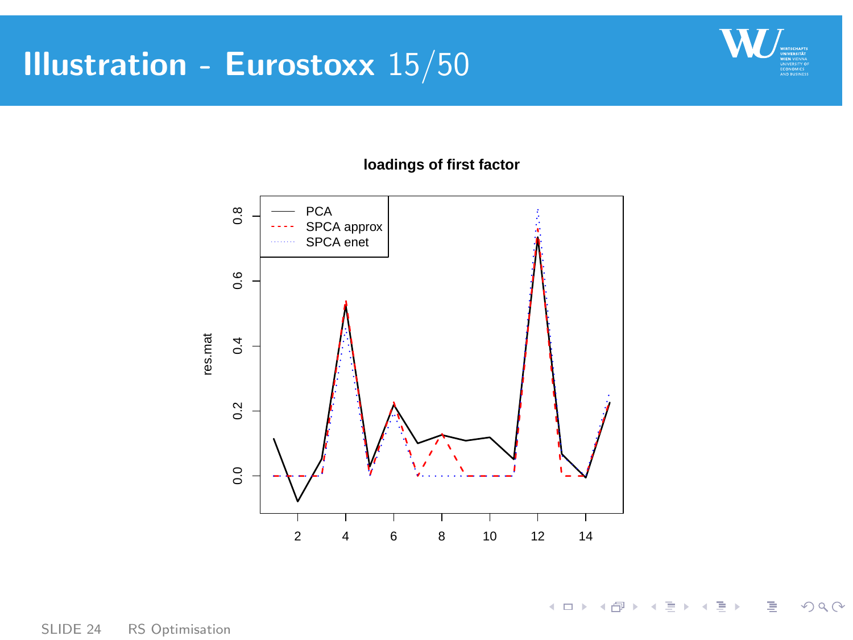# Illustration - Eurostoxx 15/50



目

 $2Q$ 

イロト イ部 トイミト イミトー



#### **loadings of first factor**

SLIDE 24 [RS Optimisation](#page-0-0)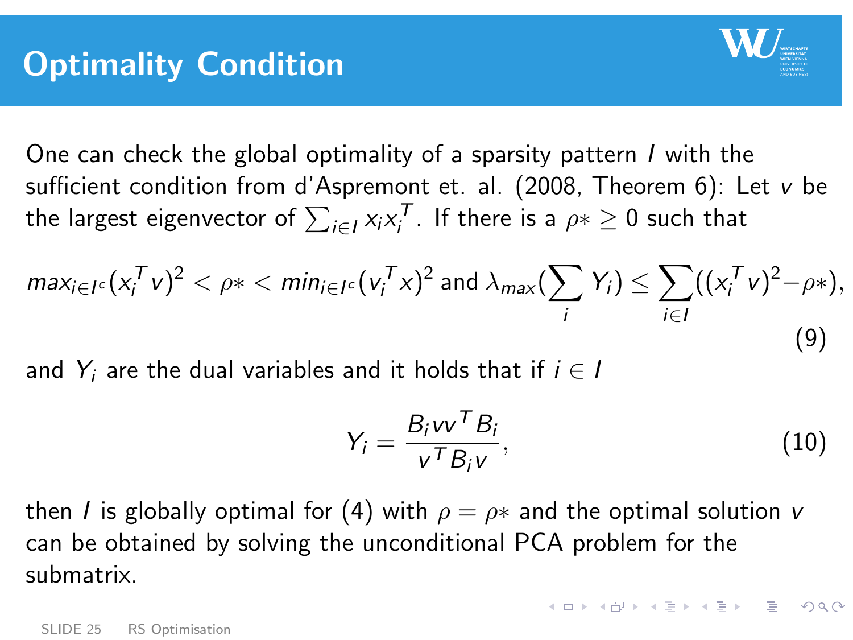

One can check the global optimality of a sparsity pattern I with the sufficient condition from d'Aspremont et. al. (2008, Theorem 6): Let v be the largest eigenvector of  $\sum_{i\in I} x_i x_i^{\mathcal T}$ . If there is a  $\rho* \geq 0$  such that

$$
\max_{i \in I^c} (x_i^T v)^2 < \rho^* < \min_{i \in I^c} (v_i^T x)^2 \text{ and } \lambda_{\max} (\sum_i Y_i) \leq \sum_{i \in I} ((x_i^T v)^2 - \rho^*),
$$
\n(9)

and  $Y_i$  are the dual variables and it holds that if  $i \in I$ 

$$
Y_i = \frac{B_i v v^T B_i}{v^T B_i v},
$$
\n(10)

KID KAR KID KID NI DA G

then I is globally optimal for [\(4\)](#page-12-0) with  $\rho = \rho *$  and the optimal solution v can be obtained by solving the unconditional PCA problem for the submatrix.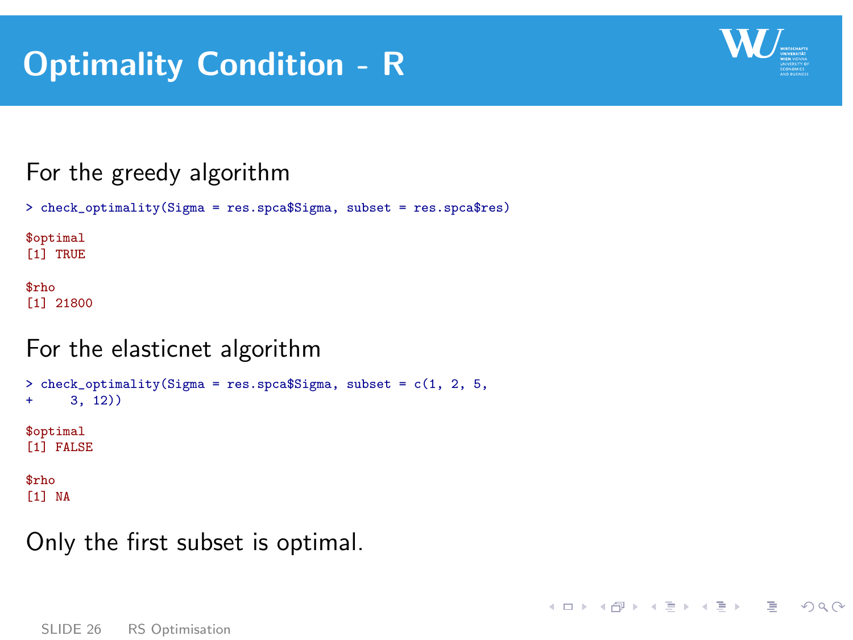# Optimality Condition - R



**KORK EXTERNS EN 2000** 

### For the greedy algorithm

```
> check_optimality(Sigma = res.spca$Sigma, subset = res.spca$res)
```
\$optimal [1] TRUE

\$rho [1] 21800

### For the elasticnet algorithm

```
> check_optimality(Sigma = res.spca$Sigma, subset = c(1, 2, 5, 4)+ 3, 12)$optimal
[1] FALSE
$rho
[1] NA
```
### Only the first subset is optimal.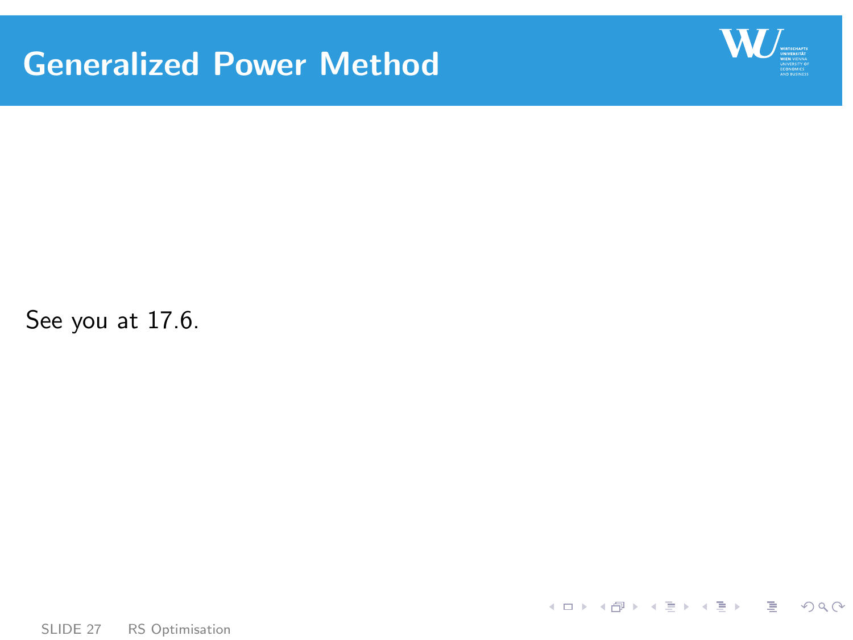# Generalized Power Method



See you at 17.6.

<span id="page-26-0"></span>K ロ ▶ K 個 ▶ K ミ ▶ K ミ ▶ │ 글 │ K 9 Q Q

SLIDE 27 [RS Optimisation](#page-0-0)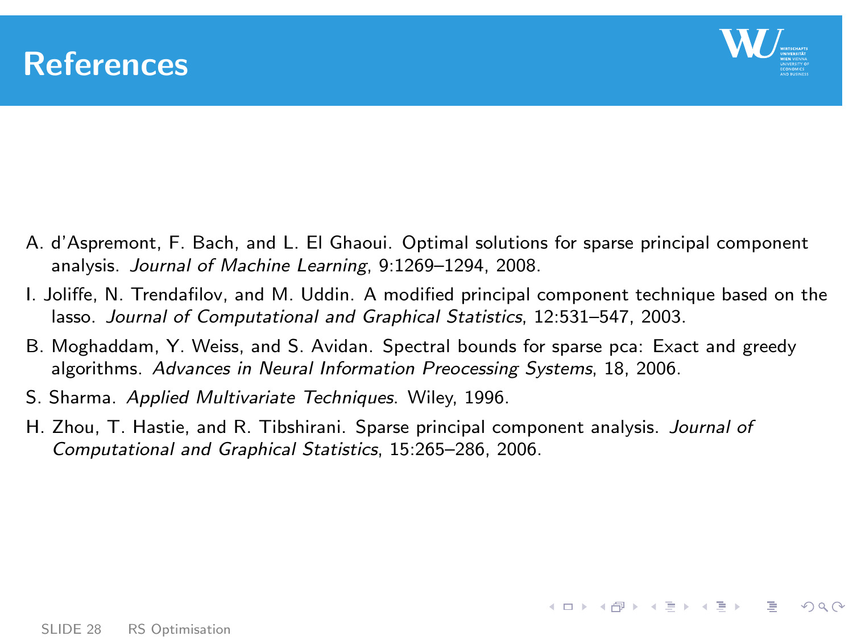



**KORK CONTRACT A CONTROL CONTROL** 

- A. d'Aspremont, F. Bach, and L. El Ghaoui. Optimal solutions for sparse principal component analysis. Journal of Machine Learning, 9:1269–1294, 2008.
- I. Joliffe, N. Trendafilov, and M. Uddin. A modified principal component technique based on the lasso. Journal of Computational and Graphical Statistics, 12:531–547, 2003.
- B. Moghaddam, Y. Weiss, and S. Avidan. Spectral bounds for sparse pca: Exact and greedy algorithms. Advances in Neural Information Preocessing Systems, 18, 2006.
- S. Sharma. Applied Multivariate Techniques. Wiley, 1996.
- H. Zhou, T. Hastie, and R. Tibshirani. Sparse principal component analysis. Journal of Computational and Graphical Statistics, 15:265–286, 2006.